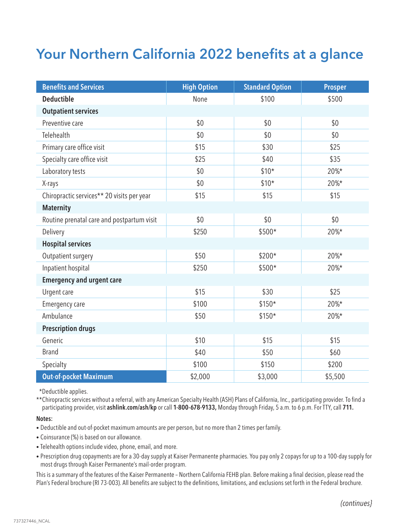## Your Northern California 2022 benefits at a glance

| <b>Benefits and Services</b>               | <b>High Option</b> | <b>Standard Option</b> | <b>Prosper</b> |  |  |
|--------------------------------------------|--------------------|------------------------|----------------|--|--|
| <b>Deductible</b>                          | None               | \$100                  | \$500          |  |  |
| <b>Outpatient services</b>                 |                    |                        |                |  |  |
| Preventive care                            | \$0                | \$0                    | \$0            |  |  |
| Telehealth                                 | \$0                | \$0                    | \$0            |  |  |
| Primary care office visit                  | \$15               | \$30                   | \$25           |  |  |
| Specialty care office visit                | \$25               | \$40                   | \$35           |  |  |
| Laboratory tests                           | \$0                | $$10*$                 | 20%*           |  |  |
| X-rays                                     | \$0                | $$10*$                 | 20%*           |  |  |
| Chiropractic services** 20 visits per year | \$15               | \$15                   | \$15           |  |  |
| <b>Maternity</b>                           |                    |                        |                |  |  |
| Routine prenatal care and postpartum visit | \$0                | \$0                    | \$0            |  |  |
| Delivery                                   | \$250              | \$500*                 | 20%*           |  |  |
| <b>Hospital services</b>                   |                    |                        |                |  |  |
| Outpatient surgery                         | \$50               | \$200*                 | 20%*           |  |  |
| Inpatient hospital                         | \$250              | \$500*                 | 20%*           |  |  |
| <b>Emergency and urgent care</b>           |                    |                        |                |  |  |
| Urgent care                                | \$15               | \$30                   | \$25           |  |  |
| Emergency care                             | \$100              | \$150*                 | 20%*           |  |  |
| Ambulance                                  | \$50               | \$150*                 | 20%*           |  |  |
| <b>Prescription drugs</b>                  |                    |                        |                |  |  |
| Generic                                    | \$10               | \$15                   | \$15           |  |  |
| <b>Brand</b>                               | \$40               | \$50                   | \$60           |  |  |
| Specialty                                  | \$100              | \$150                  | \$200          |  |  |
| <b>Out-of-pocket Maximum</b>               | \$2,000            | \$3,000                | \$5,500        |  |  |

\*\*Deductible applies.

\*\*Chiropractic services without a referral, with any American Specialty Health (ASH) Plans of California, Inc., participating provider. To find a participating provider, visit ashlink.com/ash/kp or call 1-800-678-9133, Monday through Friday, 5 a.m. to 6 p.m. For TTY, call 711.

#### Notes:

- Deductible and out-of-pocket maximum amounts are per person, but no more than 2 times per family.
- Coinsurance (%) is based on our allowance.
- Telehealth options include video, phone, email, and more.
- Prescription drug copayments are for a 30-day supply at Kaiser Permanente pharmacies. You pay only 2 copays for up to a 100-day supply for most drugs through Kaiser Permanente's mail-order program.

This is a summary of the features of the Kaiser Permanente – Northern California FEHB plan. Before making a final decision, please read the Plan's Federal brochure (RI 73-003). All benefits are subject to the definitions, limitations, and exclusions set forth in the Federal brochure.